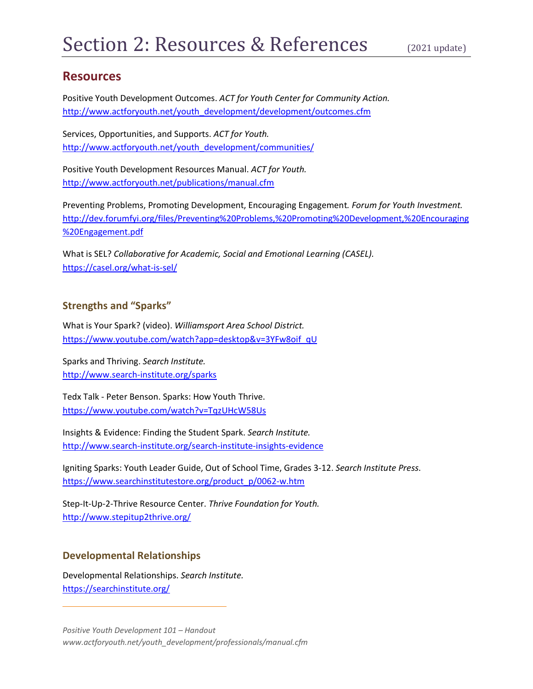## **Resources**

Positive Youth Development Outcomes. *ACT for Youth Center for Community Action.* [http://www.actforyouth.net/youth\\_development/development/outcomes.cfm](http://www.actforyouth.net/youth_development/development/outcomes.cfm)

Services, Opportunities, and Supports. *ACT for Youth.* [http://www.actforyouth.net/youth\\_development/communities/](http://www.actforyouth.net/youth_development/communities/)

Positive Youth Development Resources Manual. *ACT for Youth.* <http://www.actforyouth.net/publications/manual.cfm>

[Preventing Problems, Promoting Development, Encouraging Engagement](http://www.forumforyouthinvestment.org/node/105)*. Forum for Youth Investment.* [http://dev.forumfyi.org/files/Preventing%20Problems,%20Promoting%20Development,%20Encouraging](http://dev.forumfyi.org/files/Preventing%20Problems,%20Promoting%20Development,%20Encouraging%20Engagement.pdf) [%20Engagement.pdf](http://dev.forumfyi.org/files/Preventing%20Problems,%20Promoting%20Development,%20Encouraging%20Engagement.pdf)

What is SEL? *Collaborative for Academic, Social and Emotional Learning (CASEL).* <https://casel.org/what-is-sel/>

## **Strengths and "Sparks"**

What is Your Spark? (video). *Williamsport Area School District.* [https://www.youtube.com/watch?app=desktop&v=3YFw8oif\\_qU](https://www.youtube.com/watch?app=desktop&v=3YFw8oif_qU)

Sparks and Thriving. *Search Institute.* <http://www.search-institute.org/sparks>

Tedx Talk - Peter Benson. Sparks: How Youth Thrive. <https://www.youtube.com/watch?v=TqzUHcW58Us>

Insights & Evidence: Finding the Student Spark. *Search Institute.* <http://www.search-institute.org/search-institute-insights-evidence>

Igniting Sparks: Youth Leader Guide, Out of School Time, Grades 3-12. *Search Institute Press*. [https://www.searchinstitutestore.org/product\\_p/0062-w.htm](https://www.searchinstitutestore.org/product_p/0062-w.htm)

Step-It-Up-2-Thrive Resource Center. *Thrive Foundation for Youth.* <http://www.stepitup2thrive.org/>

## **Developmental Relationships**

Developmental Relationships. *Search Institute.* <https://searchinstitute.org/>